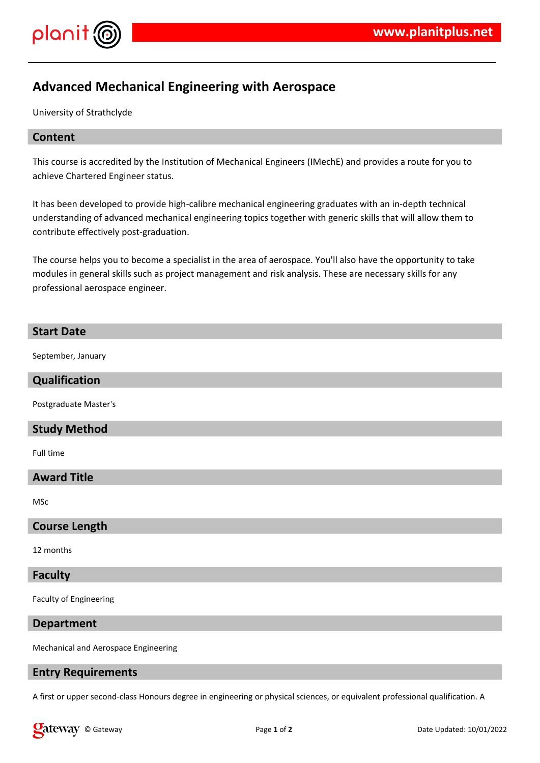

# **Advanced Mechanical Engineering with Aerospace**

University of Strathclyde

## **Content**

This course is accredited by the Institution of Mechanical Engineers (IMechE) and provides a route for you to achieve Chartered Engineer status.

It has been developed to provide high-calibre mechanical engineering graduates with an in-depth technical understanding of advanced mechanical engineering topics together with generic skills that will allow them to contribute effectively post-graduation.

The course helps you to become a specialist in the area of aerospace. You'll also have the opportunity to take modules in general skills such as project management and risk analysis. These are necessary skills for any professional aerospace engineer.

#### **Start Date**

September, January

#### **Qualification**

Postgraduate Master's

## **Study Method**

Full time

#### **Award Title**

MSc

#### **Course Length**

12 months

#### **Faculty**

Faculty of Engineering

#### **Department**

Mechanical and Aerospace Engineering

#### **Entry Requirements**

A first or upper second-class Honours degree in engineering or physical sciences, or equivalent professional qualification. A